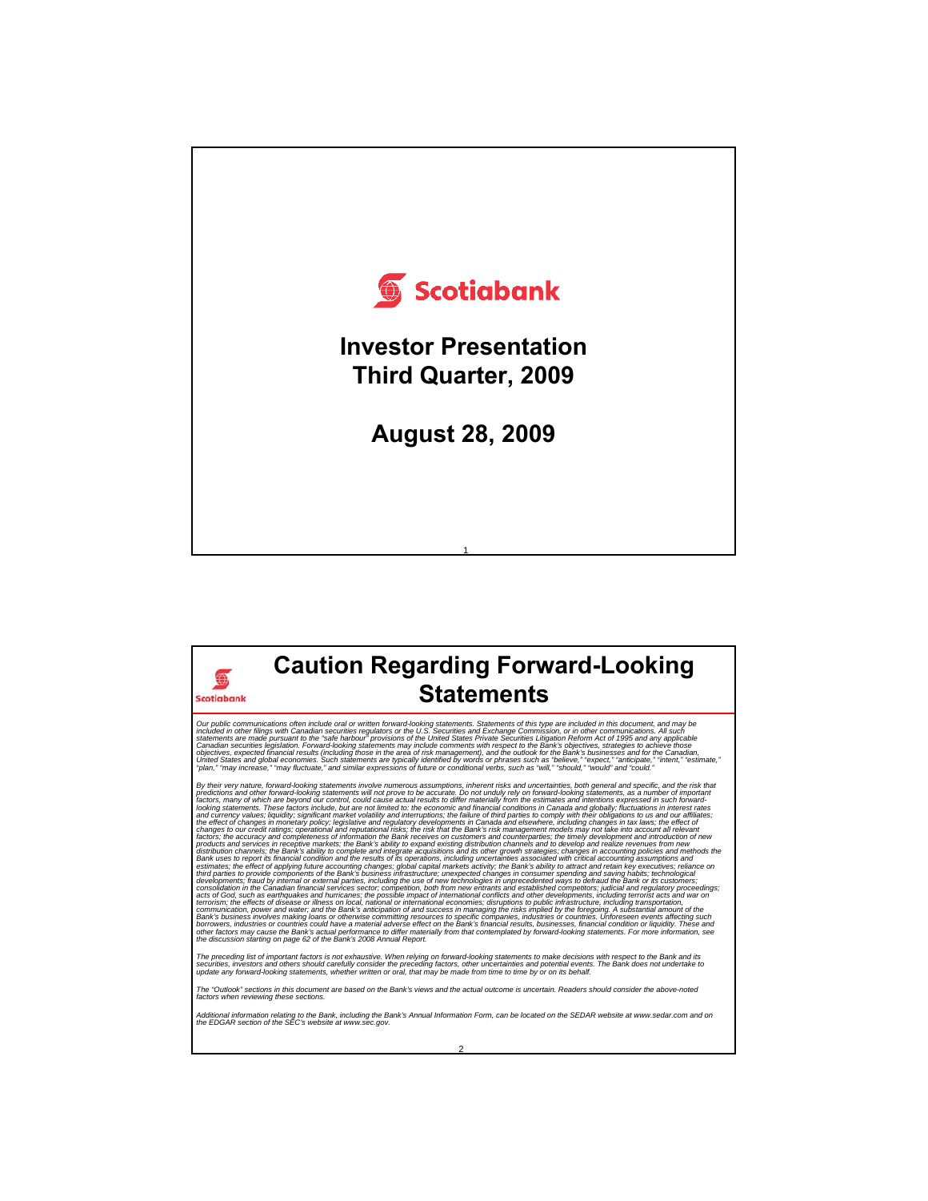

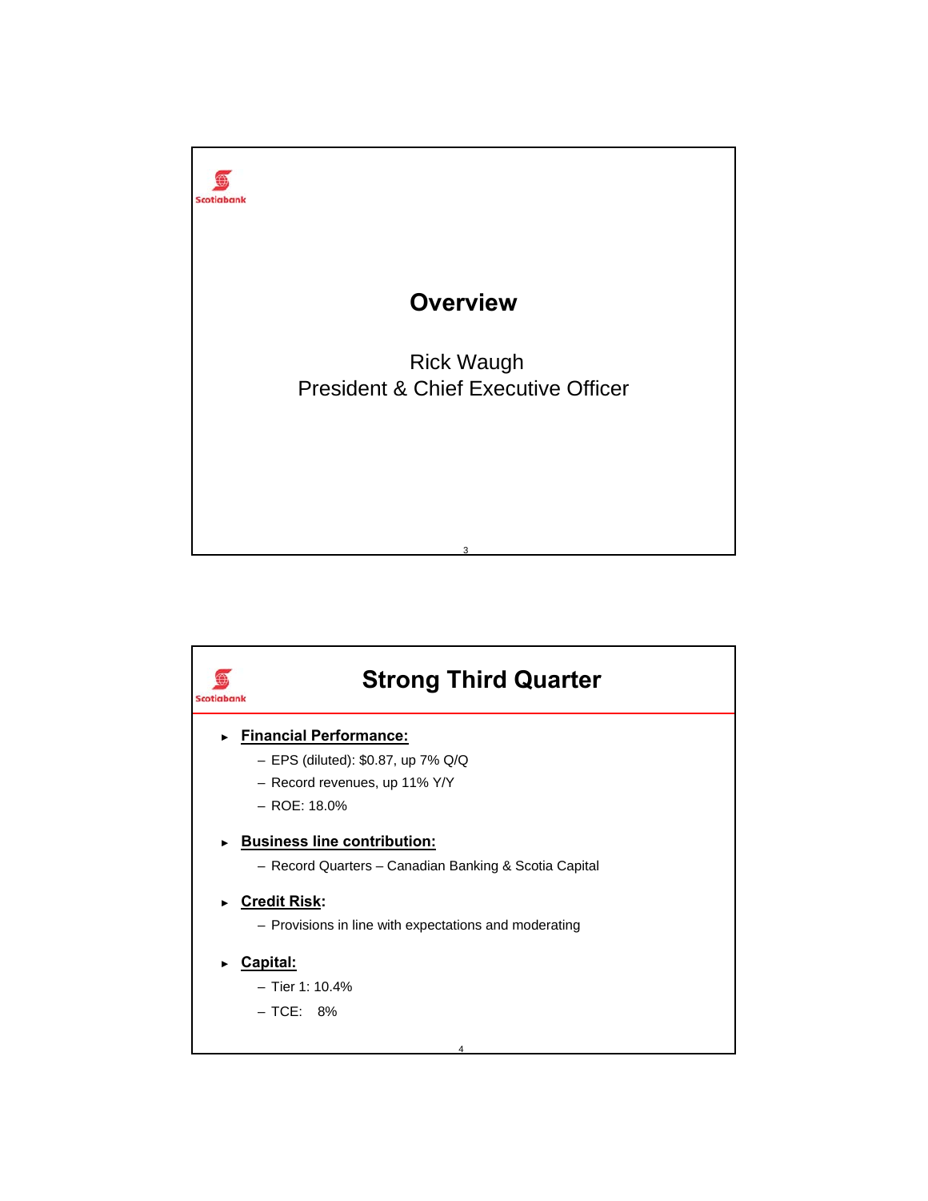

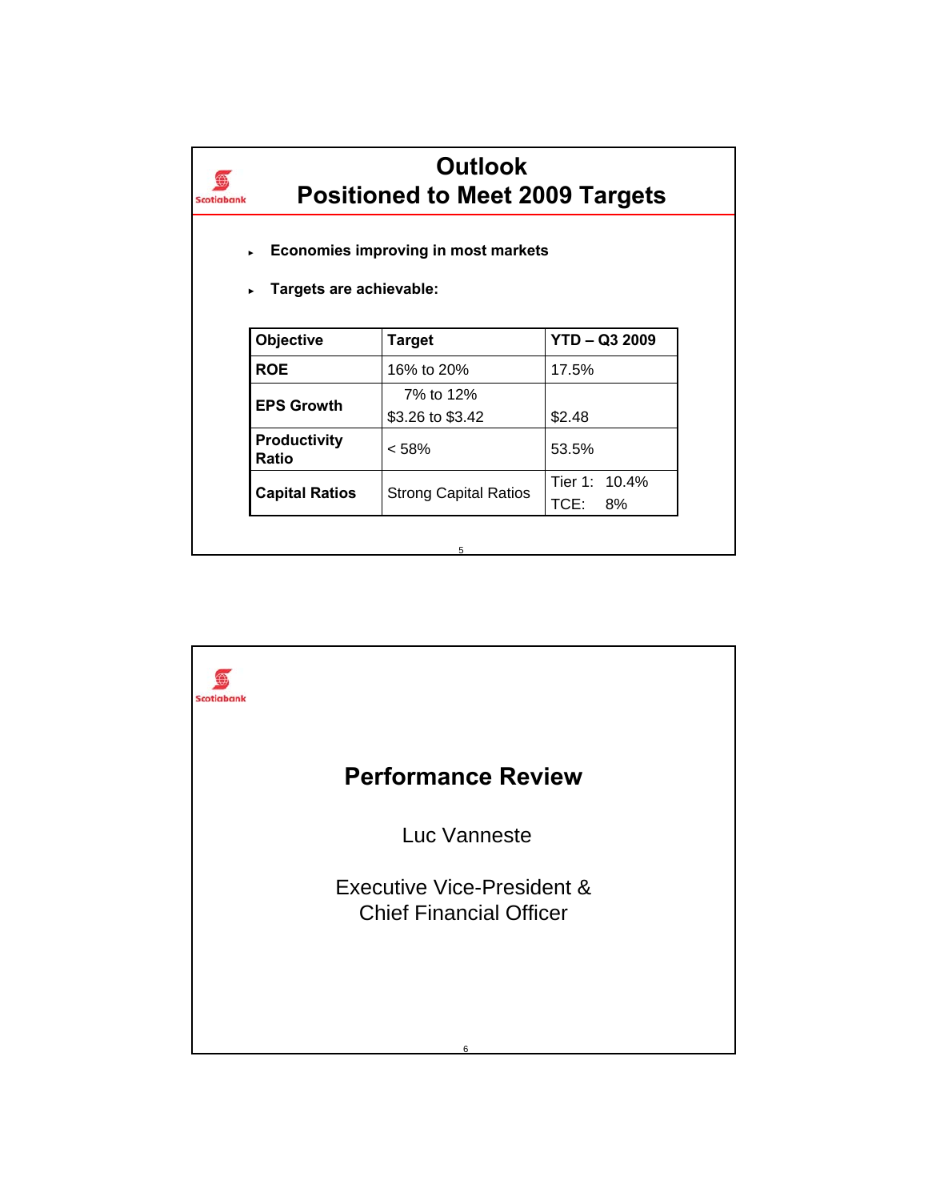| Scotiabanl | <b>Outlook</b><br><b>Positioned to Meet 2009 Targets</b> |                                     |                    |  |  |  |  |
|------------|----------------------------------------------------------|-------------------------------------|--------------------|--|--|--|--|
|            | Targets are achievable:                                  | Economies improving in most markets |                    |  |  |  |  |
|            | Objective                                                | <b>Target</b>                       | <b>YTD-Q3 2009</b> |  |  |  |  |
|            | <b>ROE</b>                                               | 16% to 20%                          | 17.5%              |  |  |  |  |
|            | <b>EPS Growth</b>                                        | 7% to 12%<br>\$3.26 to \$3.42       | \$2.48             |  |  |  |  |
|            | <b>Productivity</b><br><b>Ratio</b>                      | < 58%                               | 53.5%              |  |  |  |  |
|            |                                                          |                                     | Tier 1: 10.4%      |  |  |  |  |

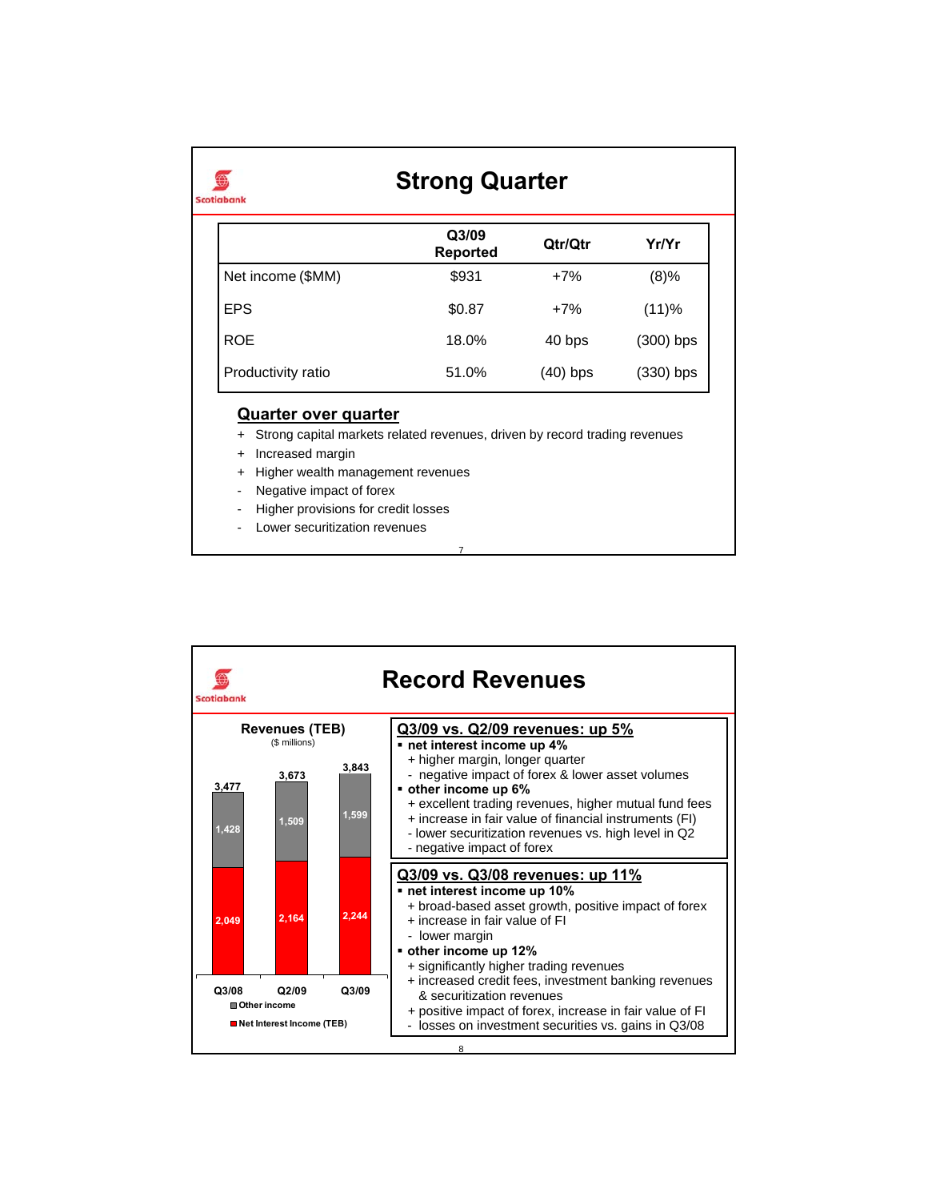### ⊕ Scotiabank

# **Strong Quarter**

|                    | Q3/09<br><b>Reported</b> | Qtr/Qtr  | Yr/Yr       |
|--------------------|--------------------------|----------|-------------|
| Net income (\$MM)  | \$931                    | $+7%$    | (8)%        |
| <b>EPS</b>         | \$0.87                   | $+7%$    | (11)%       |
| <b>ROE</b>         | 18.0%                    | 40 bps   | $(300)$ bps |
| Productivity ratio | 51.0%                    | (40) bps | (330) bps   |

#### **Quarter over quarter**

+ Strong capital markets related revenues, driven by record trading revenues

7

- + Increased margin
- + Higher wealth management revenues
- Negative impact of forex
- Higher provisions for credit losses
- Lower securitization revenues

**Record Revenues** ⊕ Scotiabank **Revenues (TEB) Q3/09 vs. Q2/09 revenues: up 5%** (\$ millions) **net interest income up 4%**  + higher margin, longer quarter **3,673 3,843**- negative impact of forex & lower asset volumes **3,477 other income up 6%** + excellent trading revenues, higher mutual fund fees **1,428 1,509 1,599** + increase in fair value of financial instruments (FI) - lower securitization revenues vs. high level in Q2 - negative impact of forex **Q3/09 vs. Q3/08 revenues: up 11% net interest income up 10%** + broad-based asset growth, positive impact of forex **2,049 2,164 2,244** + increase in fair value of FI lower margin **other income up 12%** + significantly higher trading revenues + increased credit fees, investment banking revenues **Q3/08 Q2/09 Q3/09** & securitization revenues **Other income** + positive impact of forex, increase in fair value of FI **Net Interest Income (TEB)** - losses on investment securities vs. gains in Q3/08 8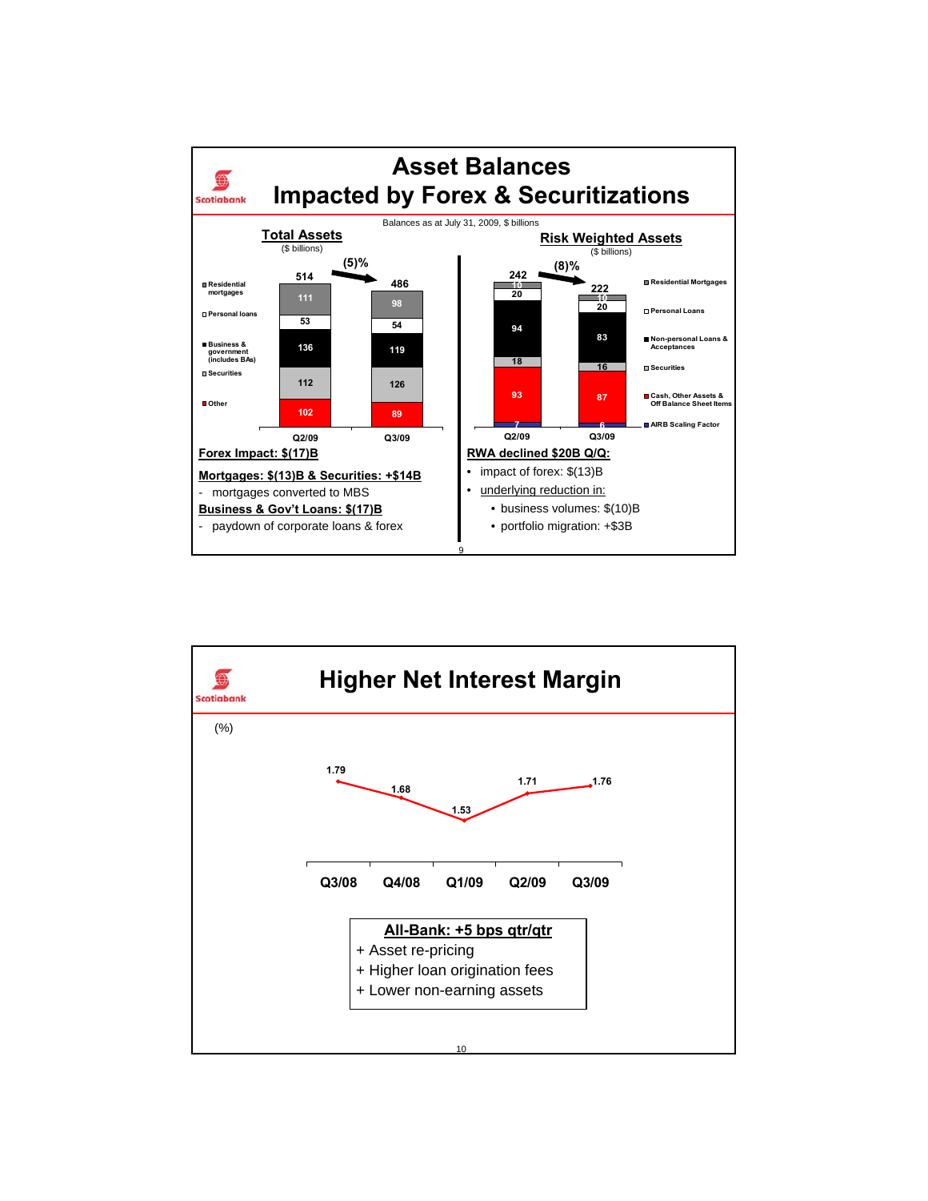

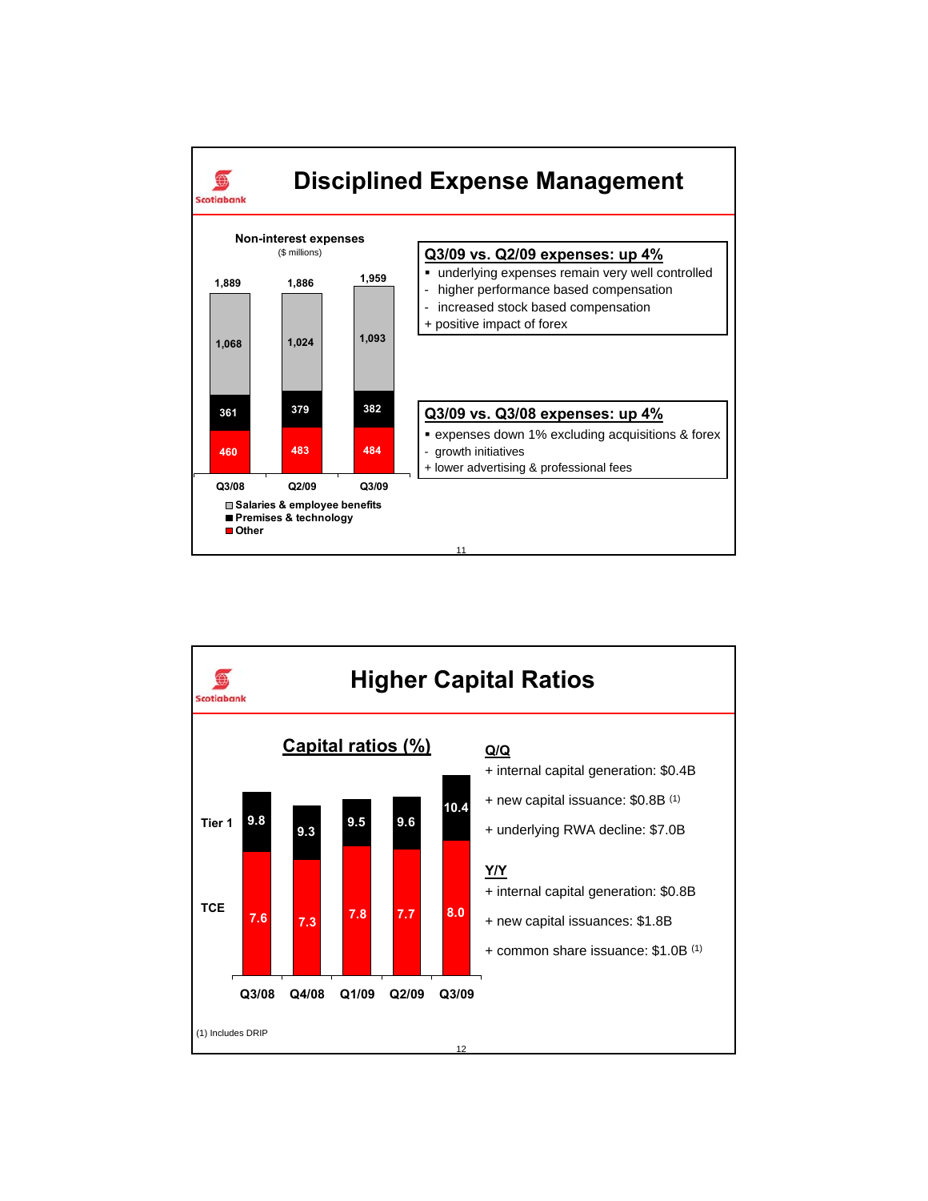

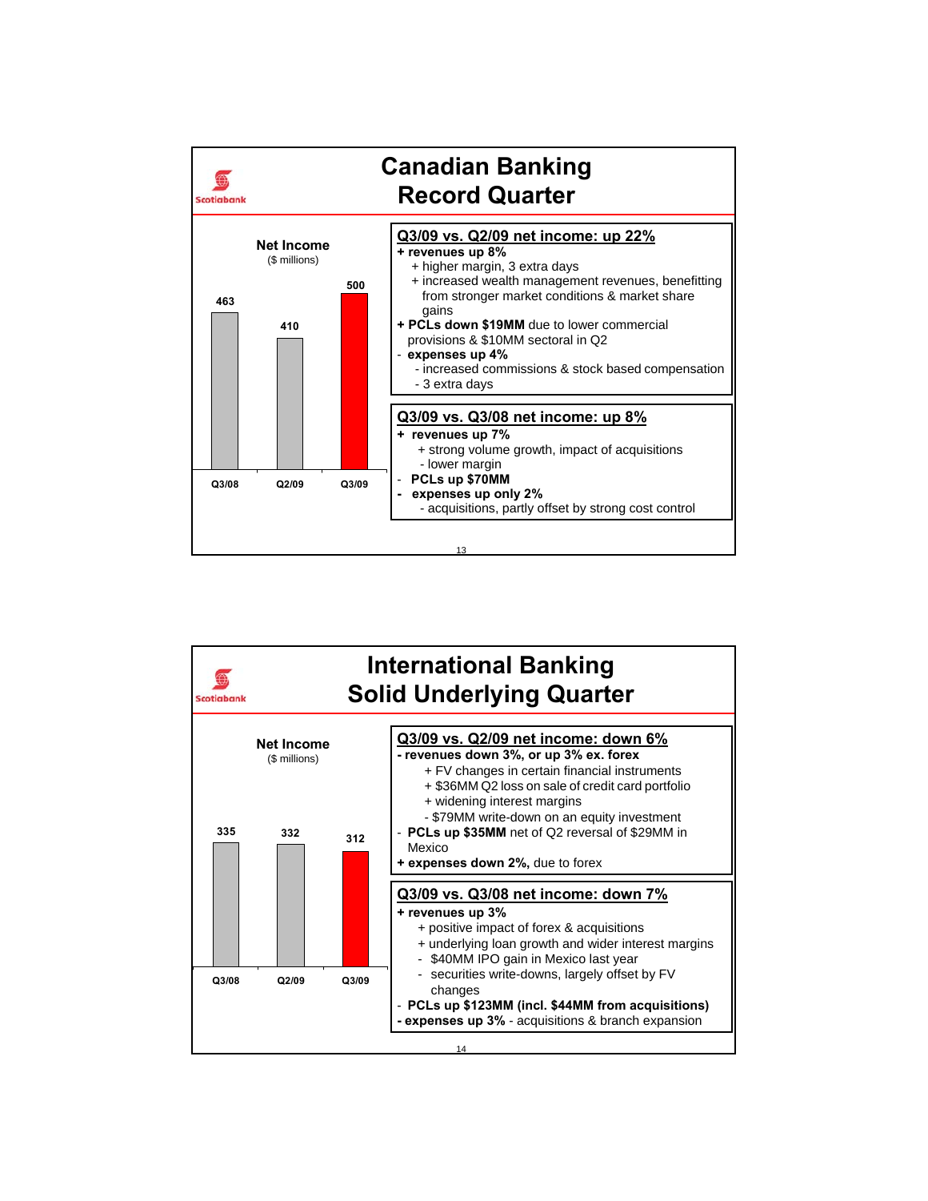

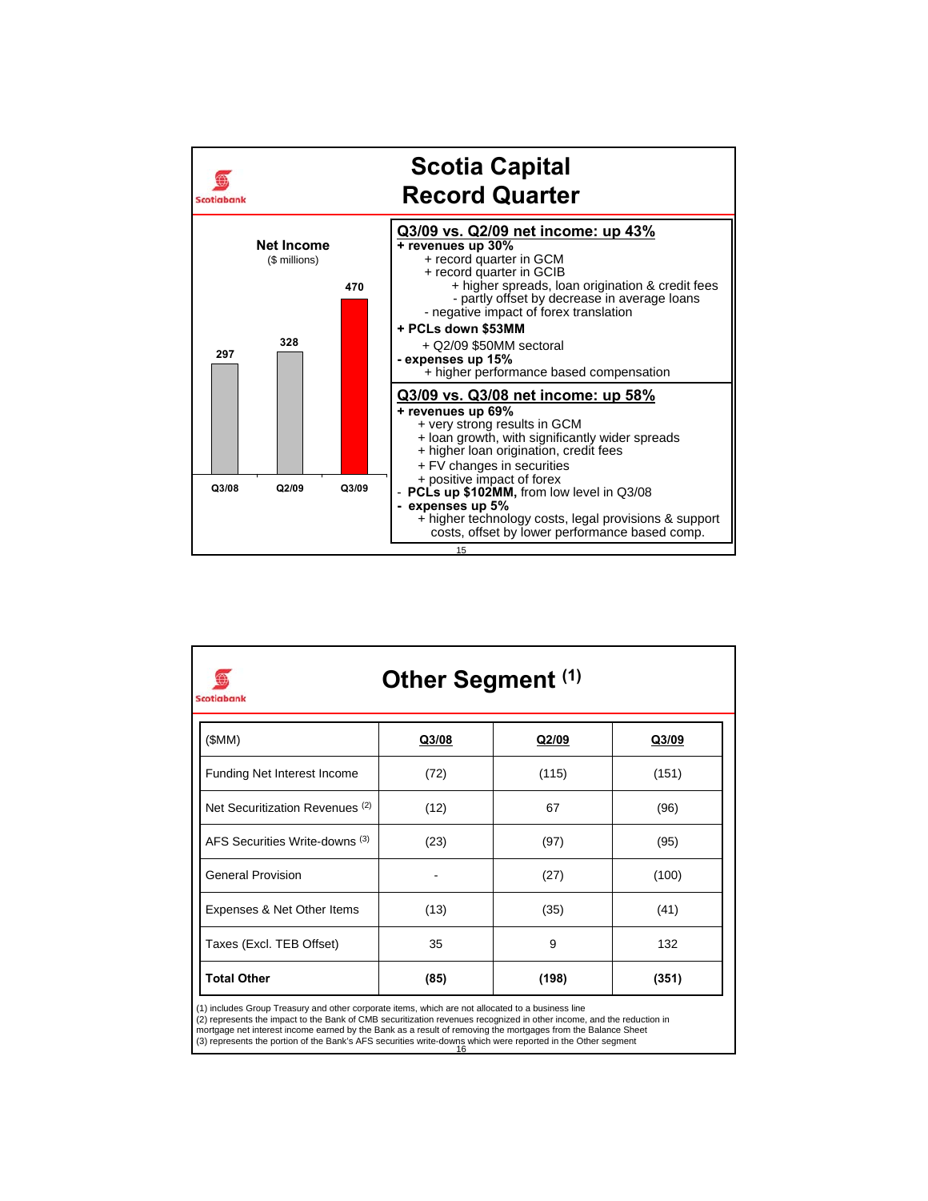

| Other Segment (1)<br><b>Scotiabank</b>     |       |       |       |  |
|--------------------------------------------|-------|-------|-------|--|
| (SMM)                                      | Q3/08 | Q2/09 | Q3/09 |  |
| Funding Net Interest Income                | (72)  | (115) | (151) |  |
| Net Securitization Revenues <sup>(2)</sup> | (12)  | 67    | (96)  |  |
| AFS Securities Write-downs (3)             | (23)  | (97)  | (95)  |  |
| <b>General Provision</b>                   |       | (27)  | (100) |  |
| Expenses & Net Other Items                 | (13)  | (35)  | (41)  |  |
| Taxes (Excl. TEB Offset)                   | 35    | 9     | 132   |  |
| <b>Total Other</b>                         | (85)  | (198) | (351) |  |

(2) represents the impact to the Bank of CMB securitization revenues recognized in other income, and the reduction in

mortgage net interest income earned by the Bank as a result of removing the mortgages from the Balance Sheet (3) represents the portion of the Bank's AFS securities write-downs which were reported in the Other segment

16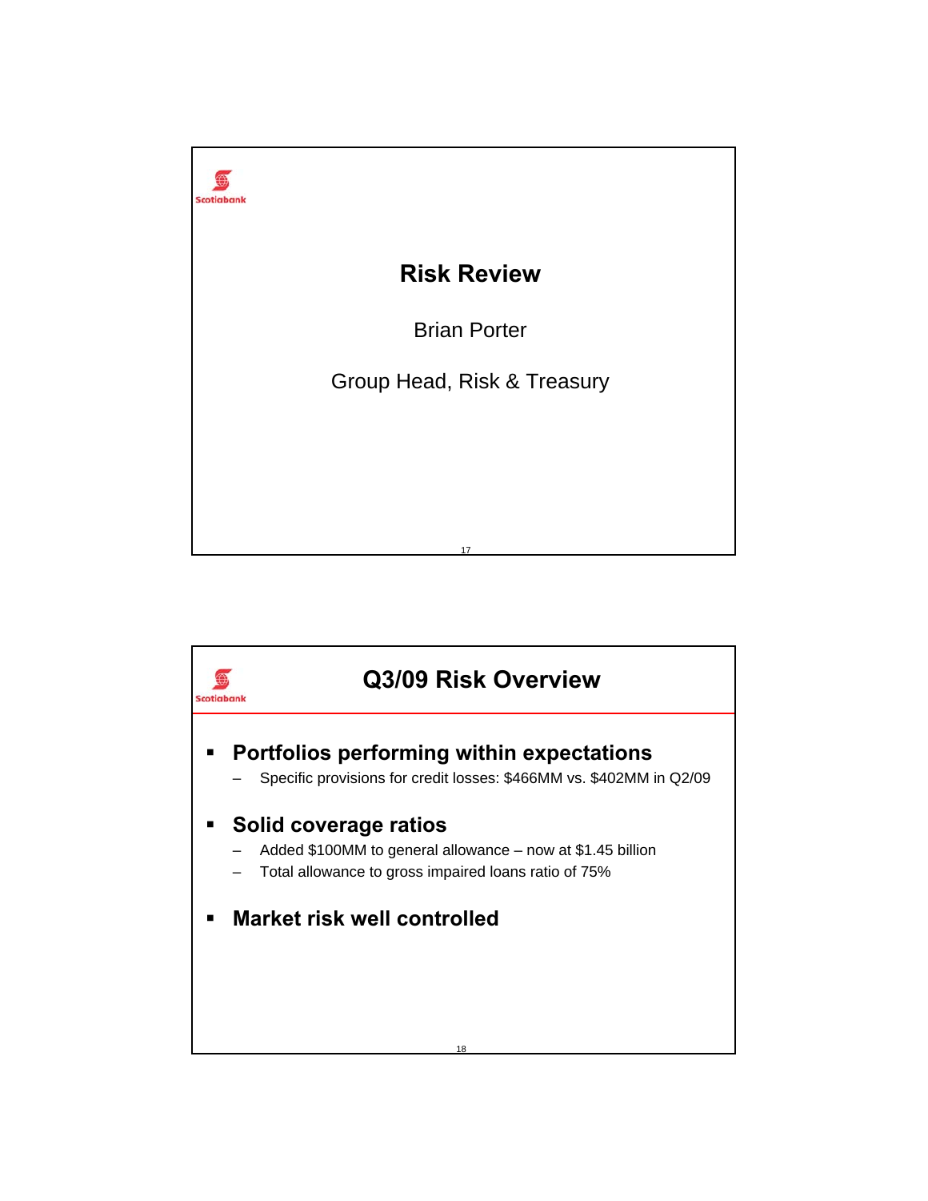

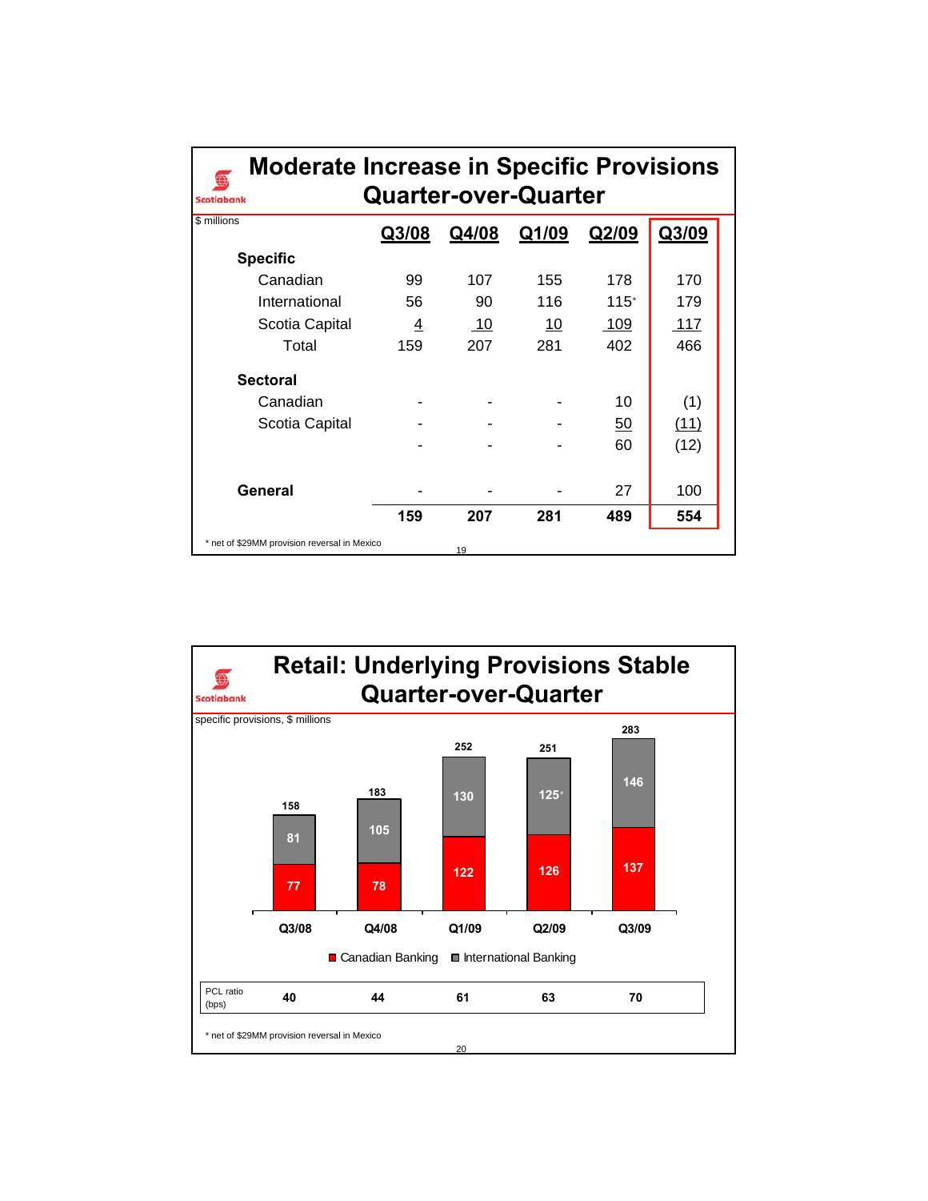| <b>Moderate Increase in Specific Provisions</b><br><b>Scotiabank</b> | <b>Quarter-over-Quarter</b> |       |       |         |       |  |
|----------------------------------------------------------------------|-----------------------------|-------|-------|---------|-------|--|
| \$ millions                                                          | Q3/08                       | Q4/08 | Q1/09 | Q2/09   | Q3/09 |  |
| <b>Specific</b>                                                      |                             |       |       |         |       |  |
| Canadian                                                             | 99                          | 107   | 155   | 178     | 170   |  |
| International                                                        | 56                          | 90    | 116   | $115^*$ | 179   |  |
| Scotia Capital                                                       | $\overline{4}$              | -10   | 10    | 109     | 117   |  |
| Total                                                                | 159                         | 207   | 281   | 402     | 466   |  |
| <b>Sectoral</b>                                                      |                             |       |       |         |       |  |
| Canadian                                                             |                             |       |       | 10      | (1)   |  |
| Scotia Capital                                                       |                             |       |       | 50      | (11)  |  |
|                                                                      |                             |       |       | 60      | (12)  |  |
| <b>General</b>                                                       |                             |       |       | 27      | 100   |  |
|                                                                      | 159                         | 207   | 281   | 489     | 554   |  |
| * net of \$29MM provision reversal in Mexico                         |                             | 19    |       |         |       |  |

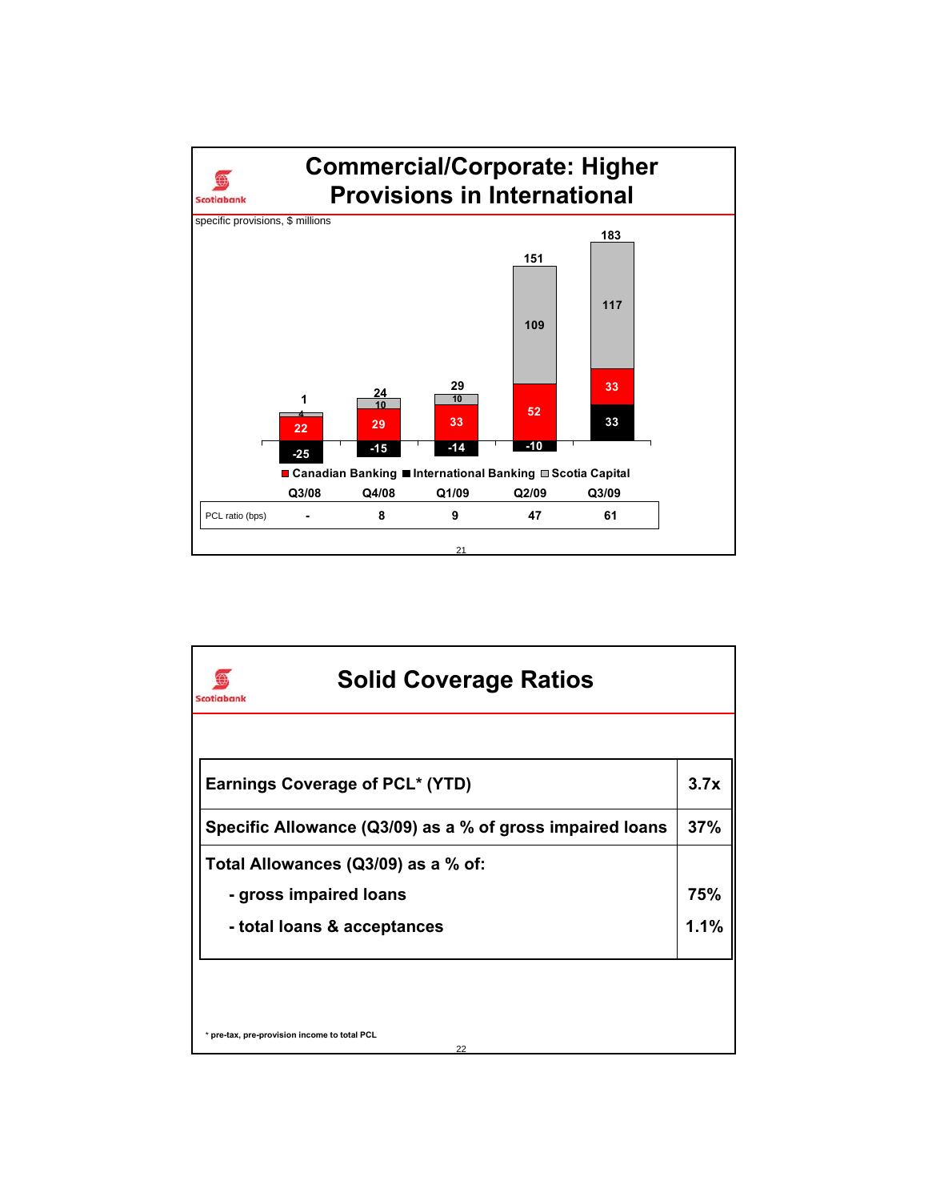

| Scotiabanl                                   | <b>Solid Coverage Ratios</b>                              |         |
|----------------------------------------------|-----------------------------------------------------------|---------|
|                                              |                                                           |         |
| Earnings Coverage of PCL* (YTD)              |                                                           | 3.7x    |
|                                              | Specific Allowance (Q3/09) as a % of gross impaired loans | 37%     |
| Total Allowances (Q3/09) as a % of:          |                                                           |         |
| - gross impaired loans                       |                                                           | 75%     |
| - total loans & acceptances                  |                                                           | $1.1\%$ |
|                                              |                                                           |         |
| * pre-tax, pre-provision income to total PCL |                                                           |         |
|                                              | 22                                                        |         |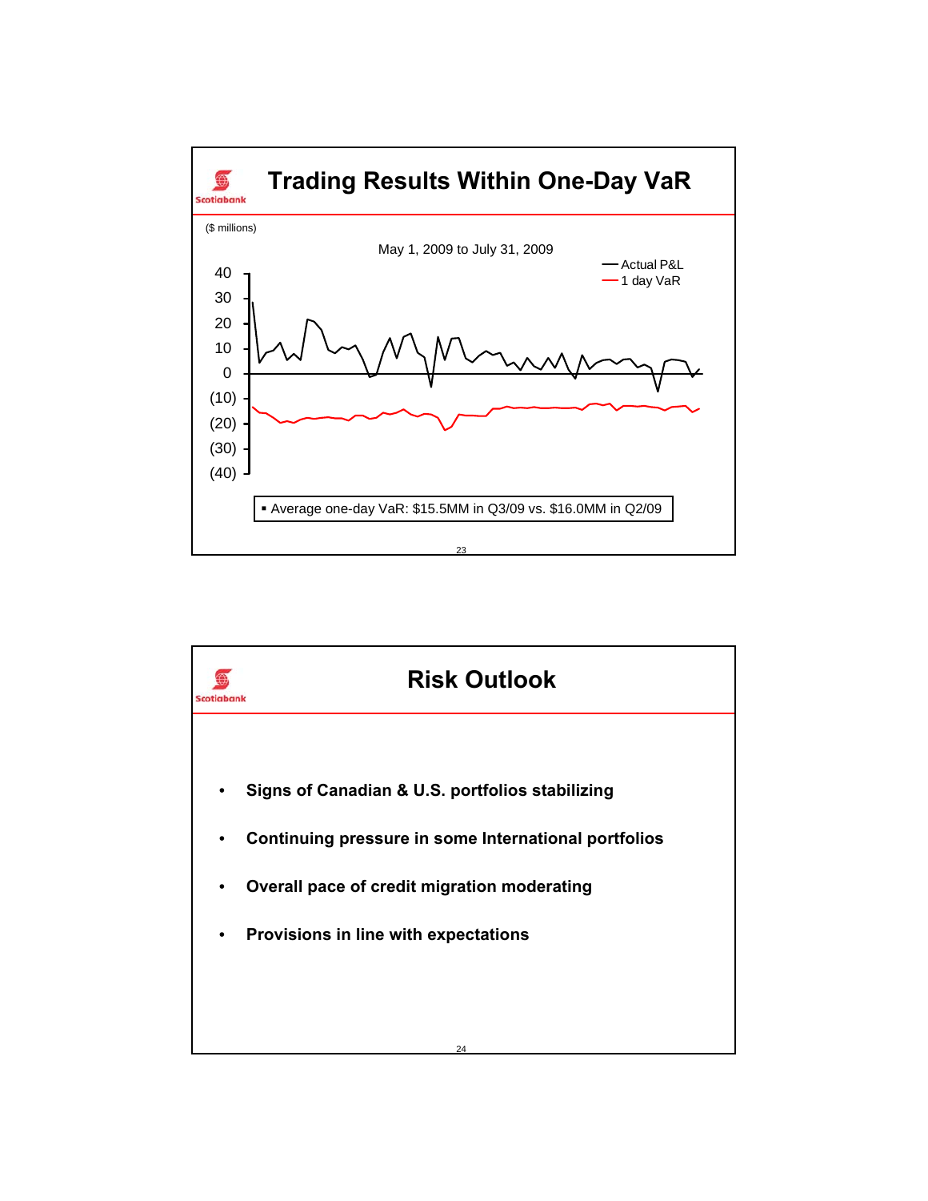

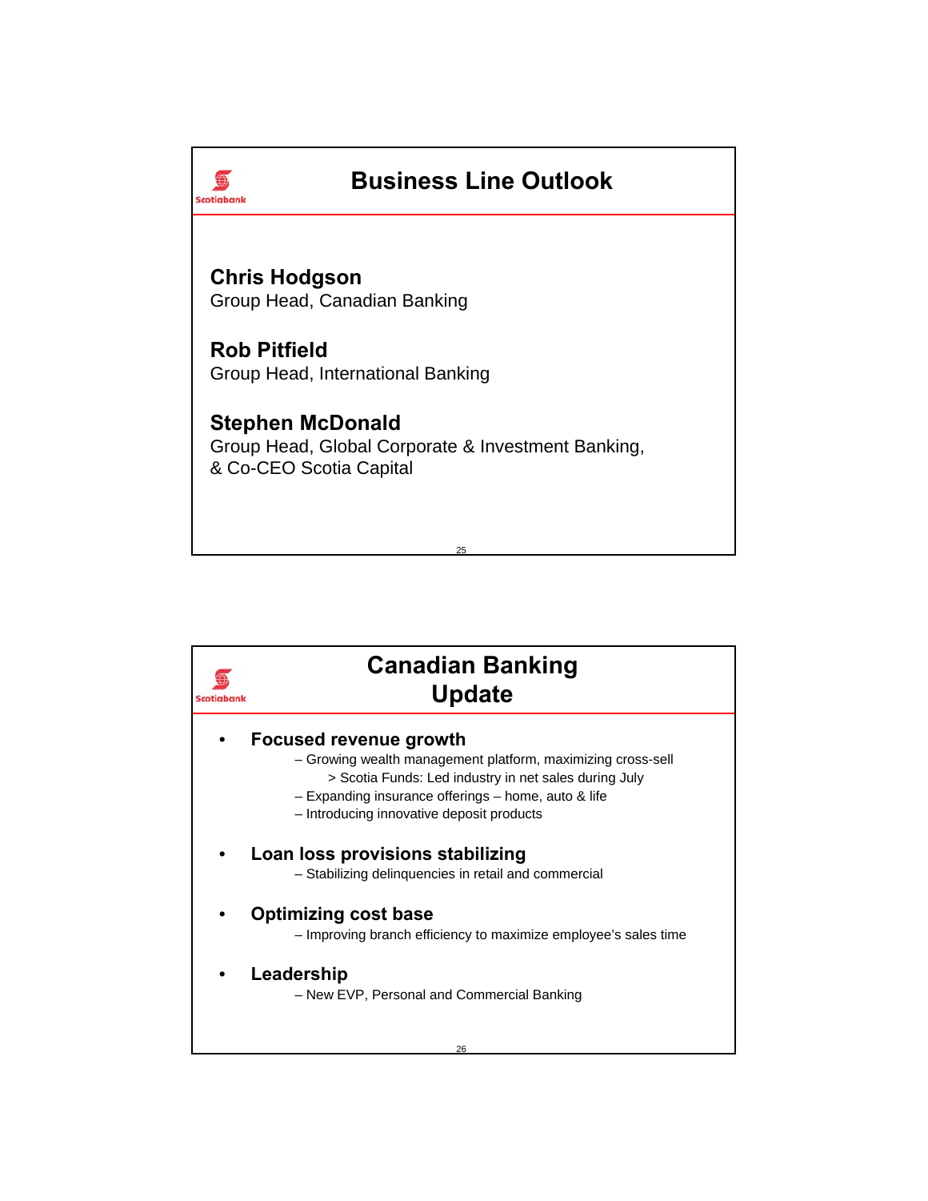

| Scotiabank | <b>Canadian Banking</b><br><b>Update</b>                                                                                                                                                                                                           |
|------------|----------------------------------------------------------------------------------------------------------------------------------------------------------------------------------------------------------------------------------------------------|
|            | Focused revenue growth<br>- Growing wealth management platform, maximizing cross-sell<br>> Scotia Funds: Led industry in net sales during July<br>- Expanding insurance offerings - home, auto & life<br>- Introducing innovative deposit products |
|            | Loan loss provisions stabilizing<br>- Stabilizing delinguencies in retail and commercial                                                                                                                                                           |
|            | <b>Optimizing cost base</b><br>- Improving branch efficiency to maximize employee's sales time                                                                                                                                                     |
|            | Leadership<br>- New EVP, Personal and Commercial Banking                                                                                                                                                                                           |
|            | 26                                                                                                                                                                                                                                                 |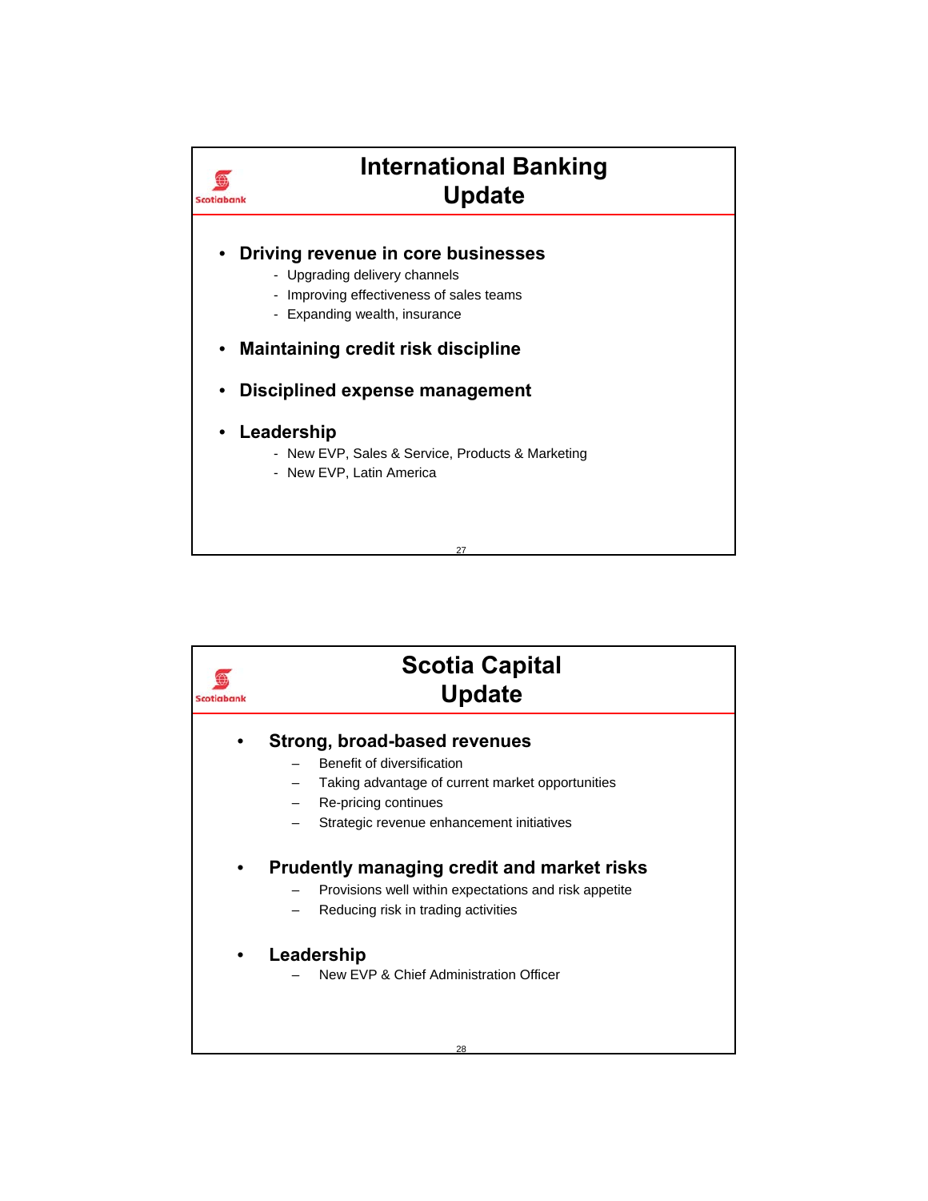

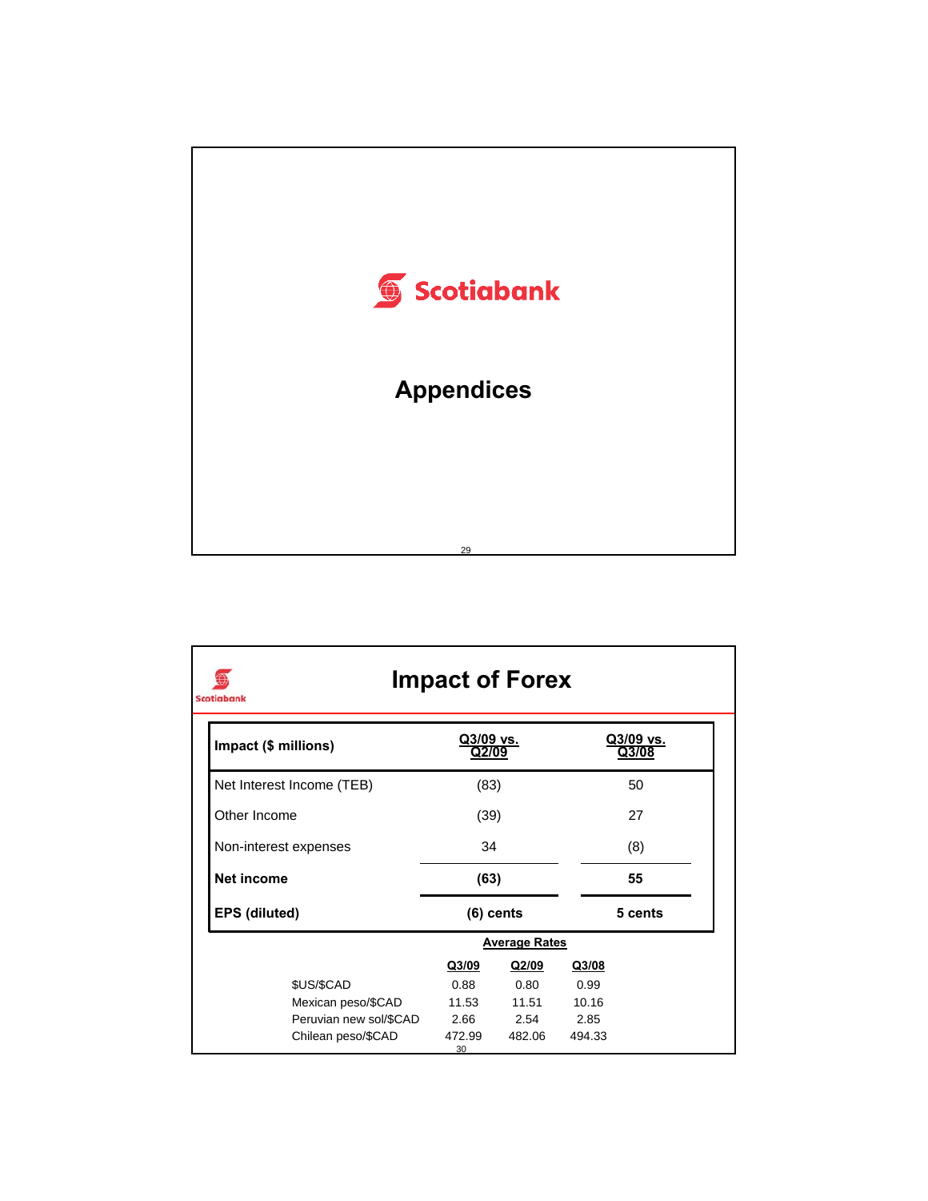

| <b>Scotiabank</b>         | <b>Impact of Forex</b> |                      |        |                    |  |
|---------------------------|------------------------|----------------------|--------|--------------------|--|
| Impact (\$ millions)      | Q3/09 vs.              |                      |        | Q3/09 vs.<br>03/08 |  |
| Net Interest Income (TEB) | (83)                   |                      |        | 50                 |  |
| Other Income              | (39)                   |                      |        | 27                 |  |
| Non-interest expenses     | 34                     |                      |        | (8)                |  |
| <b>Net income</b>         | (63)                   |                      |        | 55                 |  |
| <b>EPS (diluted)</b>      | $(6)$ cents            |                      |        | 5 cents            |  |
|                           |                        | <b>Average Rates</b> |        |                    |  |
|                           | Q3/09                  | Q2/09                | Q3/08  |                    |  |
| \$US/\$CAD                | 0.88                   | 0.80                 | 0.99   |                    |  |
| Mexican peso/\$CAD        | 11.53                  | 11.51                | 10.16  |                    |  |
| Peruvian new sol/\$CAD    | 2.66                   | 2.54                 | 2.85   |                    |  |
| Chilean peso/\$CAD        | 472.99<br>30           | 482.06               | 494.33 |                    |  |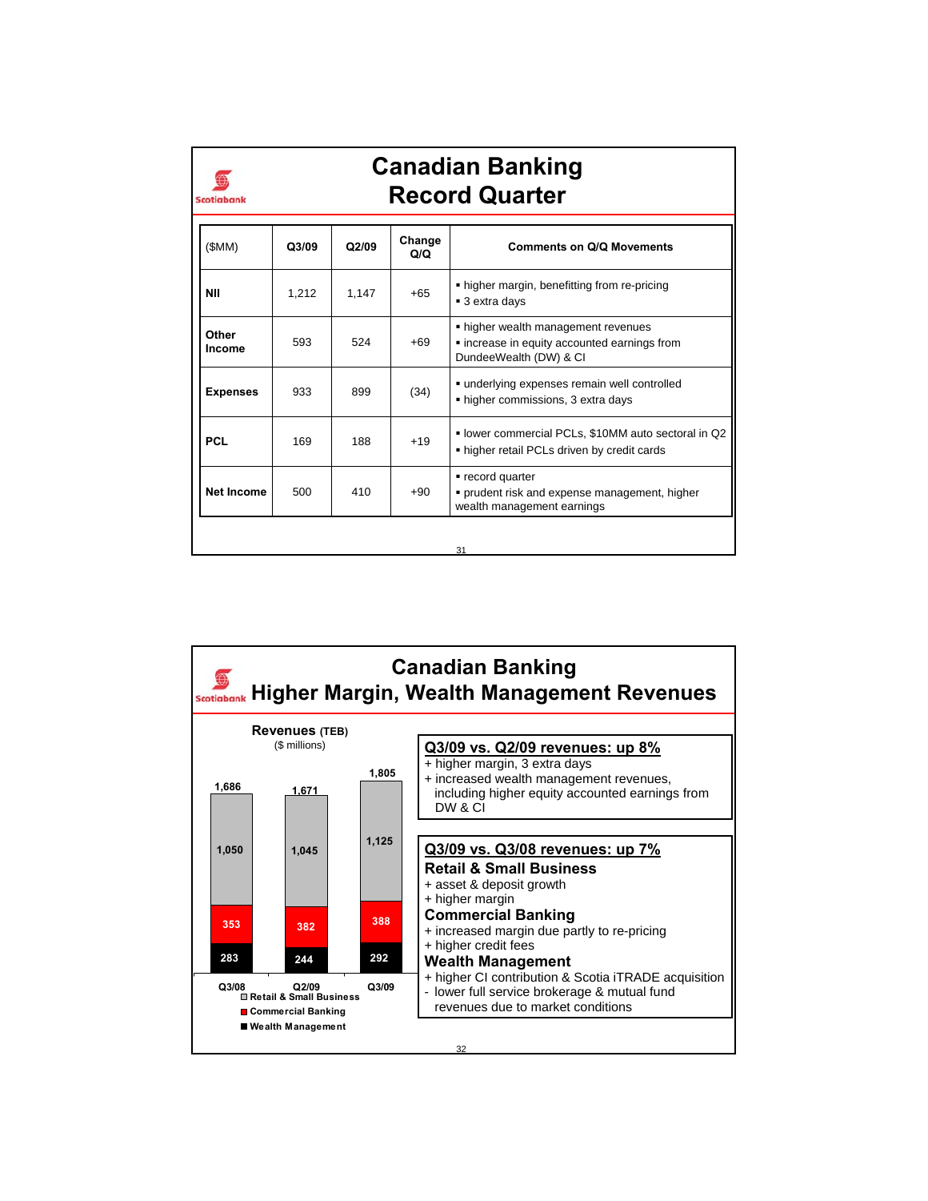| Scotiabank        |       |       |               | <b>Record Quarter</b>                                                                                         |
|-------------------|-------|-------|---------------|---------------------------------------------------------------------------------------------------------------|
| (SMM)             | Q3/09 | Q2/09 | Change<br>Q/Q | <b>Comments on Q/Q Movements</b>                                                                              |
| NII               | 1,212 | 1,147 | $+65$         | • higher margin, benefitting from re-pricing<br>■ 3 extra days                                                |
| Other<br>Income   | 593   | 524   | $+69$         | • higher wealth management revenues<br>. increase in equity accounted earnings from<br>DundeeWealth (DW) & CI |
| <b>Expenses</b>   | 933   | 899   | (34)          | underlying expenses remain well controlled<br>• higher commissions, 3 extra days                              |
| <b>PCL</b>        | 169   | 188   | $+19$         | • lower commercial PCLs, \$10MM auto sectoral in Q2<br>. higher retail PCLs driven by credit cards            |
| <b>Net Income</b> | 500   | 410   | $+90$         | • record quarter<br>• prudent risk and expense management, higher<br>wealth management earnings               |
|                   |       |       |               | 31                                                                                                            |

**Canadian Banking**

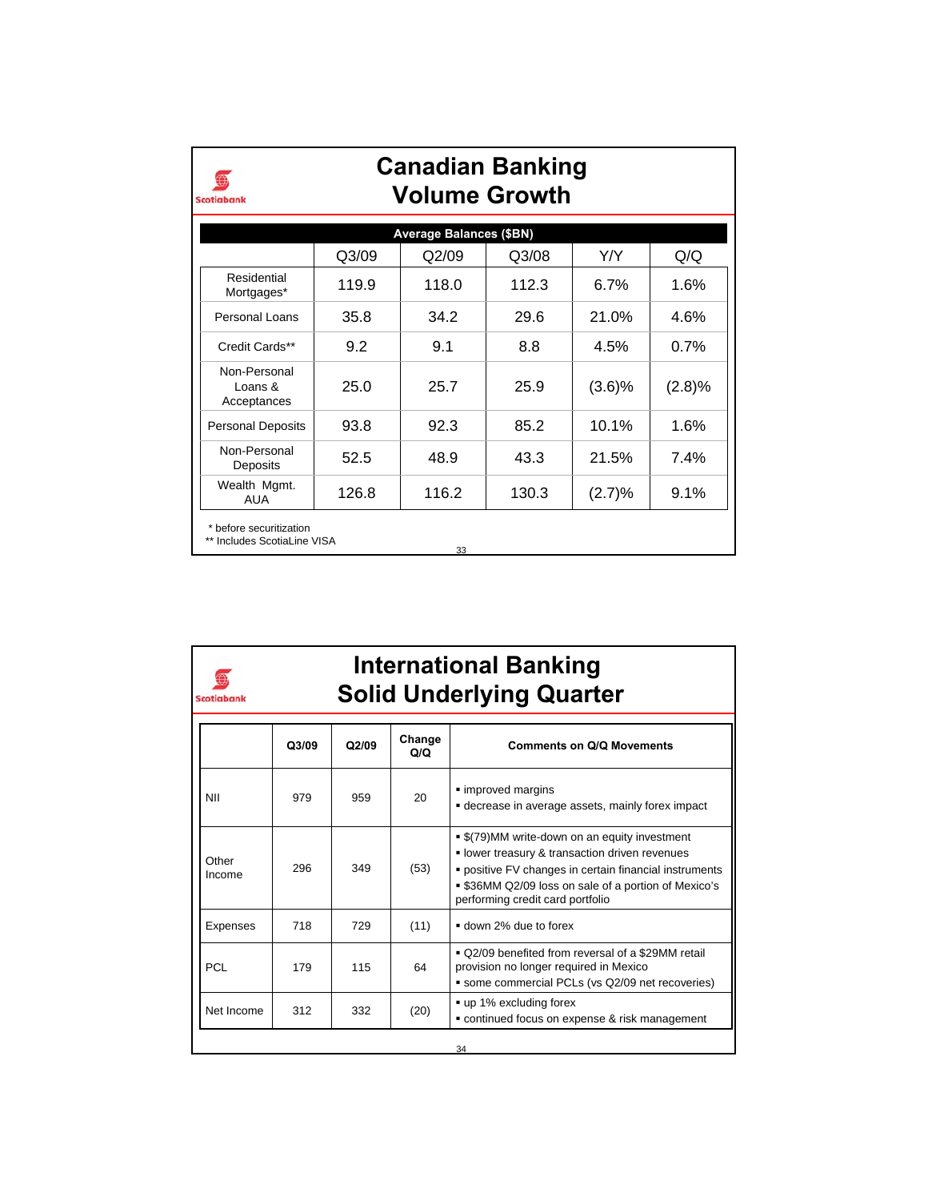| Scotiabank                                          | <b>Canadian Banking</b><br><b>Volume Growth</b> |       |       |        |        |  |  |  |
|-----------------------------------------------------|-------------------------------------------------|-------|-------|--------|--------|--|--|--|
|                                                     | <b>Average Balances (\$BN)</b>                  |       |       |        |        |  |  |  |
|                                                     | Q3/09                                           | Q2/09 | Q3/08 | Y/Y    | Q/Q    |  |  |  |
| Residential<br>Mortgages*                           | 119.9                                           | 118.0 | 112.3 | 6.7%   | 1.6%   |  |  |  |
| Personal Loans                                      | 35.8                                            | 34.2  | 29.6  | 21.0%  | 4.6%   |  |  |  |
| Credit Cards**                                      | 9.2                                             | 9.1   | 8.8   | 4.5%   | 0.7%   |  |  |  |
| Non-Personal<br>Loans &<br>Acceptances              | 25.0                                            | 25.7  | 25.9  | (3.6)% | (2.8)% |  |  |  |
| <b>Personal Deposits</b>                            | 93.8                                            | 92.3  | 85.2  | 10.1%  | 1.6%   |  |  |  |
| Non-Personal<br>Deposits                            | 52.5                                            | 48.9  | 43.3  | 21.5%  | 7.4%   |  |  |  |
| Wealth Mgmt.<br><b>AUA</b>                          | 126.8                                           | 116.2 | 130.3 | (2.7)% | 9.1%   |  |  |  |
| * before securitization<br>Includes ScotiaLine VISA |                                                 | 33    |       |        |        |  |  |  |

| <b>International Banking</b>    |
|---------------------------------|
| <b>Solid Underlying Quarter</b> |

**O**<br>Scotiabank

| Q3/09 | Q2/09 | Change<br>Q/Q | <b>Comments on Q/Q Movements</b>                                                                                                                                                                                                                       |
|-------|-------|---------------|--------------------------------------------------------------------------------------------------------------------------------------------------------------------------------------------------------------------------------------------------------|
| 979   | 959   | 20            | • improved margins<br>• decrease in average assets, mainly forex impact                                                                                                                                                                                |
| 296   | 349   | (53)          | • \$(79) MM write-down on an equity investment<br>• lower treasury & transaction driven revenues<br>· positive FV changes in certain financial instruments<br>• \$36MM Q2/09 loss on sale of a portion of Mexico's<br>performing credit card portfolio |
| 718   | 729   | (11)          | down 2% due to forex                                                                                                                                                                                                                                   |
| 179   | 115   | 64            | ■ Q2/09 benefited from reversal of a \$29MM retail<br>provision no longer required in Mexico<br>Some commercial PCLs (vs Q2/09 net recoveries)                                                                                                         |
| 312   | 332   | (20)          | ■ up 1% excluding forex<br>" continued focus on expense & risk management                                                                                                                                                                              |
|       |       |               |                                                                                                                                                                                                                                                        |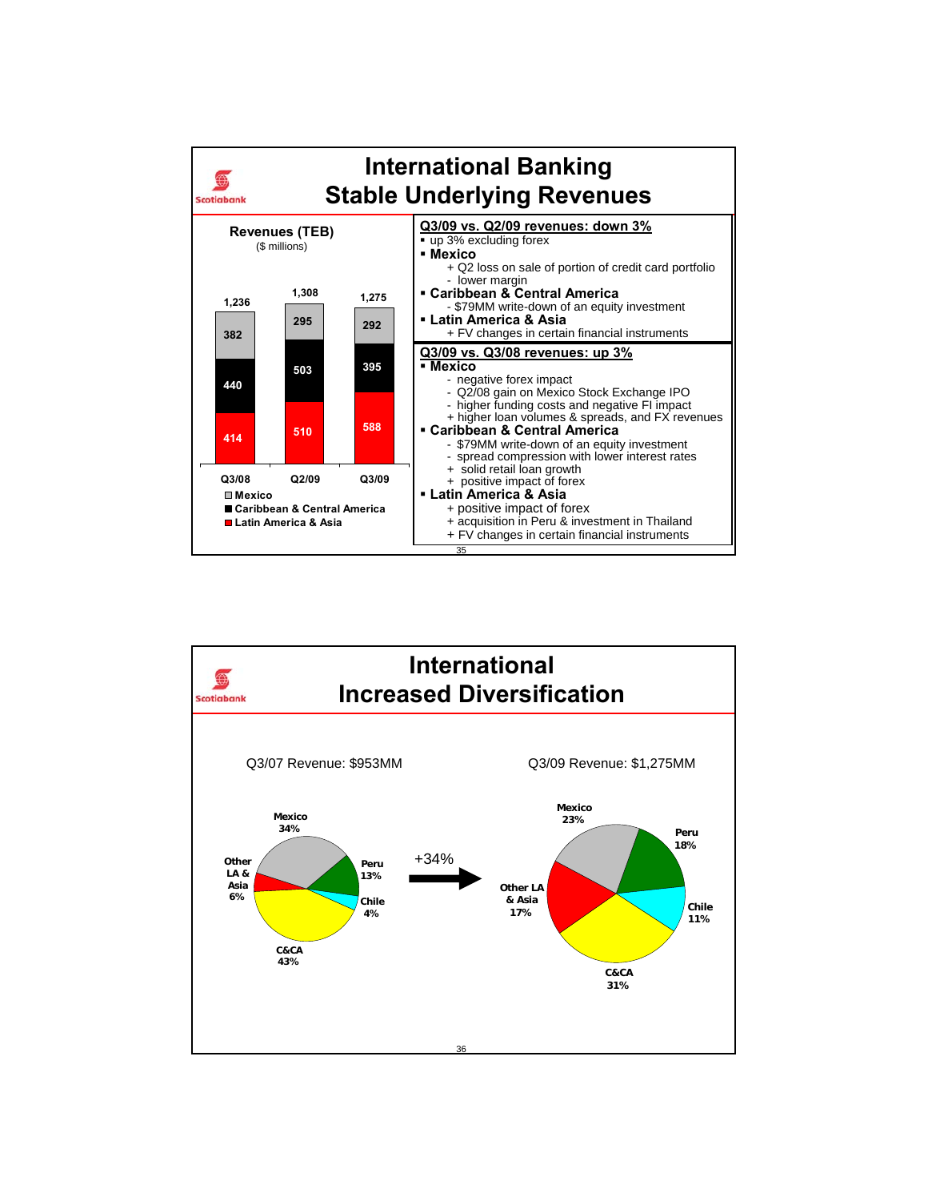

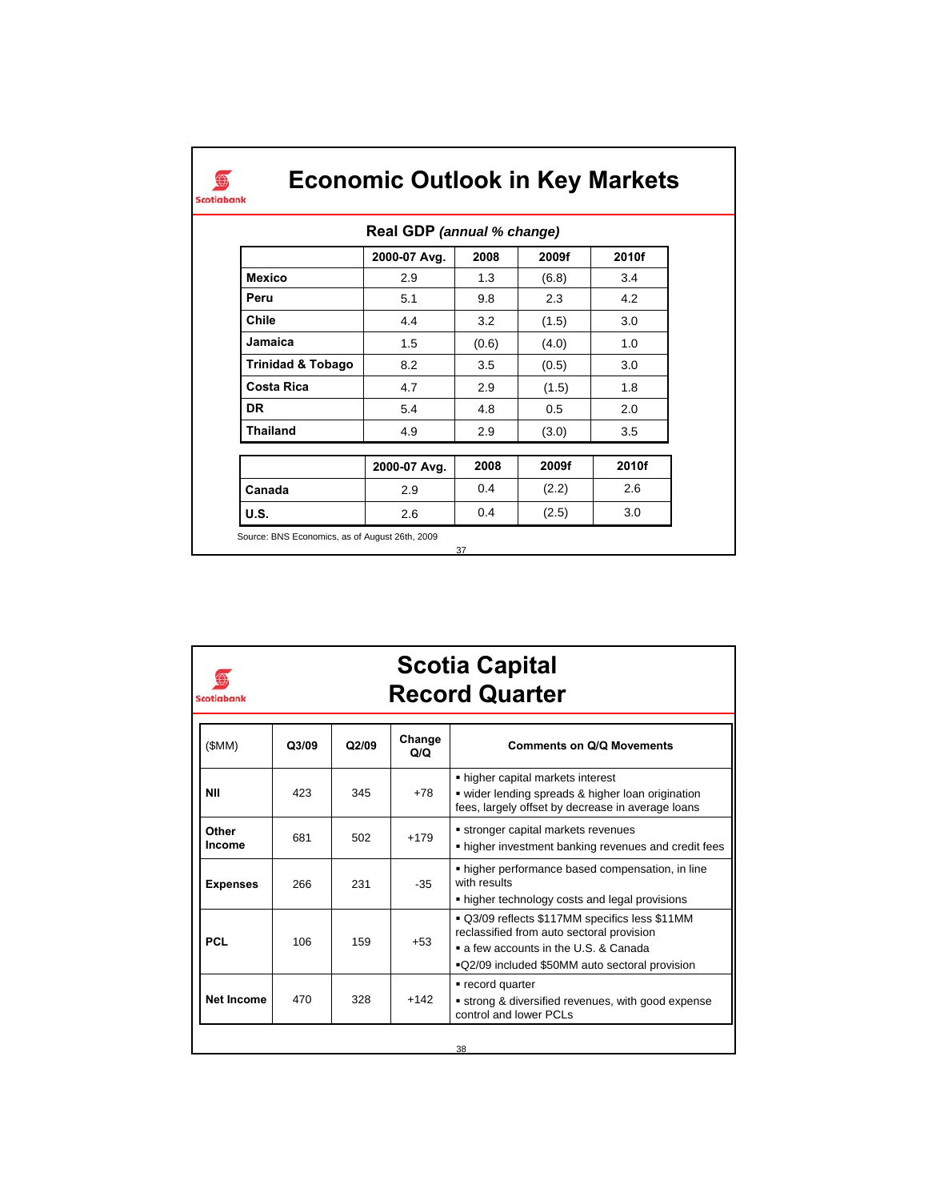|                              | Real GDP (annual % change) |       |               |       |
|------------------------------|----------------------------|-------|---------------|-------|
|                              | 2000-07 Avg.               | 2008  | 2009f         | 2010f |
| <b>Mexico</b>                | 2.9                        | 1.3   | (6.8)         | 3.4   |
| Peru                         | 5.1                        | 9.8   | 2.3           | 4.2   |
| Chile                        | 4.4                        | 3.2   | (1.5)         | 3.0   |
| Jamaica                      | 1.5                        | (0.6) | (4.0)         | 1.0   |
| <b>Trinidad &amp; Tobago</b> | 8.2                        | 3.5   | (0.5)         | 3.0   |
| Costa Rica                   | 4.7                        | 2.9   | (1.5)         | 1.8   |
| <b>DR</b>                    | 5.4                        | 4.8   | $0.5^{\circ}$ | 2.0   |
| <b>Thailand</b>              | 4.9                        | 2.9   | (3.0)         | 3.5   |
|                              |                            |       |               |       |
|                              | 2000-07 Avg.               | 2008  | 2009f         | 2010f |
| Canada                       | 2.9                        | 0.4   | (2.2)         | 2.6   |
| U.S.                         | 2.6                        | 0.4   | (2.5)         | 3.0   |

## **Economic Outlook in Key Markets**

| Scotiabank        | <b>Scotia Capital</b><br><b>Record Quarter</b> |       |               |                                                                                                                                                                                      |  |  |  |  |
|-------------------|------------------------------------------------|-------|---------------|--------------------------------------------------------------------------------------------------------------------------------------------------------------------------------------|--|--|--|--|
| (SMM)             | Q3/09                                          | Q2/09 | Change<br>Q/Q | <b>Comments on Q/Q Movements</b>                                                                                                                                                     |  |  |  |  |
| ΝIΙ               | 423                                            | 345   | $+78$         | • higher capital markets interest<br>• wider lending spreads & higher loan origination<br>fees, largely offset by decrease in average loans                                          |  |  |  |  |
| Other<br>Income   | 681                                            | 502   | $+179$        | stronger capital markets revenues<br>. higher investment banking revenues and credit fees                                                                                            |  |  |  |  |
| <b>Expenses</b>   | 266                                            | 231   | $-35$         | • higher performance based compensation, in line<br>with results<br>• higher technology costs and legal provisions                                                                   |  |  |  |  |
| <b>PCL</b>        | 106                                            | 159   | $+53$         | ■ Q3/09 reflects \$117MM specifics less \$11MM<br>reclassified from auto sectoral provision<br>a few accounts in the U.S. & Canada<br>■Q2/09 included \$50MM auto sectoral provision |  |  |  |  |
| <b>Net Income</b> | 470                                            | 328   | $+142$        | • record quarter<br>strong & diversified revenues, with good expense<br>control and lower PCLs                                                                                       |  |  |  |  |
|                   |                                                |       |               | 38                                                                                                                                                                                   |  |  |  |  |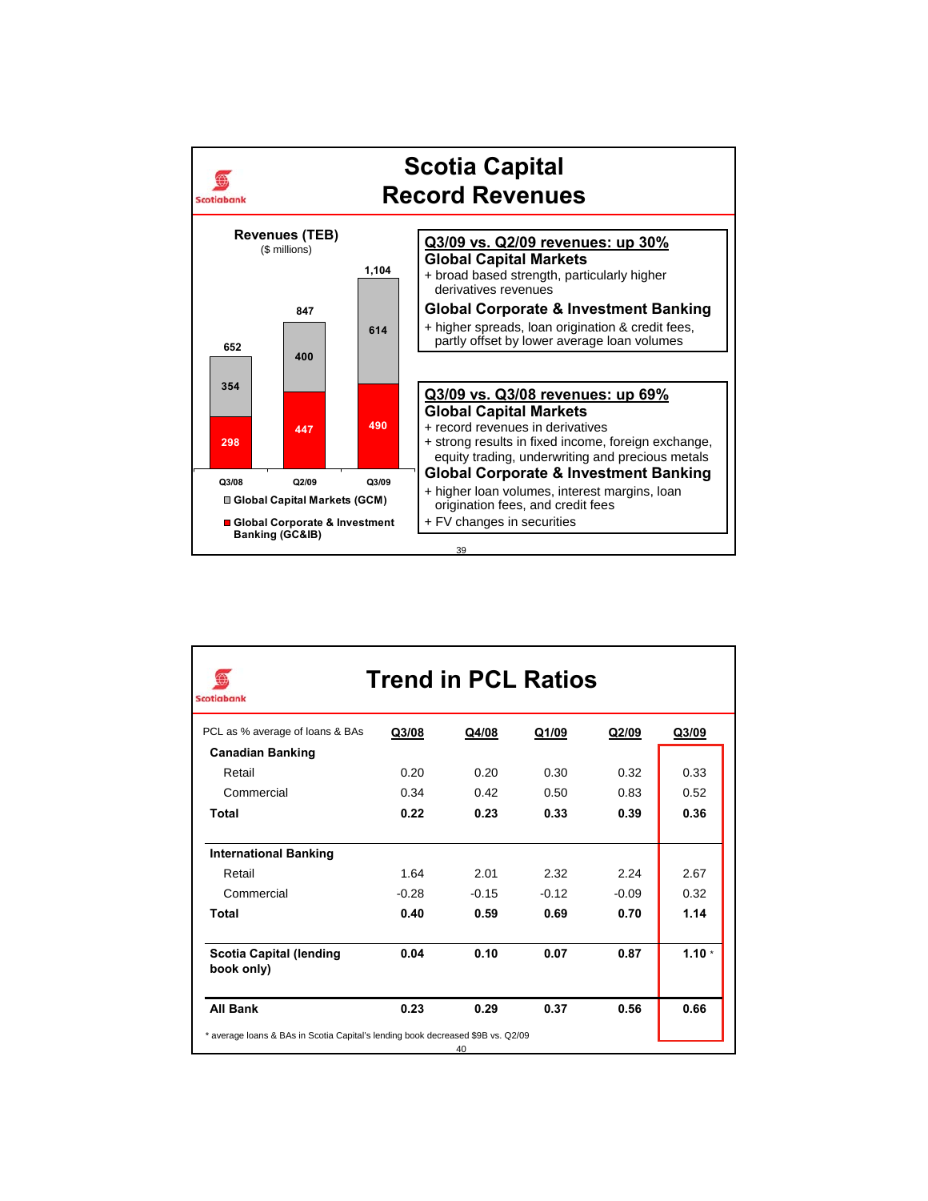

| <b>Scotiabank</b>                                                                     |         | <b>Trend in PCL Ratios</b> |              |         |          |  |
|---------------------------------------------------------------------------------------|---------|----------------------------|--------------|---------|----------|--|
| PCL as % average of loans & BAs                                                       | Q3/08   | Q4/08                      | <u>Q1/09</u> | Q2/09   | Q3/09    |  |
| <b>Canadian Banking</b>                                                               |         |                            |              |         |          |  |
| Retail                                                                                | 0.20    | 0.20                       | 0.30         | 0.32    | 0.33     |  |
| Commercial                                                                            | 0.34    | 0.42                       | 0.50         | 0.83    | 0.52     |  |
| Total                                                                                 | 0.22    | 0.23                       | 0.33         | 0.39    | 0.36     |  |
| <b>International Banking</b>                                                          |         |                            |              |         |          |  |
| Retail                                                                                | 1.64    | 2.01                       | 2.32         | 2.24    | 2.67     |  |
| Commercial                                                                            | $-0.28$ | $-0.15$                    | $-0.12$      | $-0.09$ | 0.32     |  |
| Total                                                                                 | 0.40    | 0.59                       | 0.69         | 0.70    | 1.14     |  |
| <b>Scotia Capital (lending</b><br>book only)                                          | 0.04    | 0.10                       | 0.07         | 0.87    | $1.10 *$ |  |
| <b>All Bank</b>                                                                       | 0.23    | 0.29                       | 0.37         | 0.56    | 0.66     |  |
| * average loans & BAs in Scotia Capital's lending book decreased \$9B vs. Q2/09<br>40 |         |                            |              |         |          |  |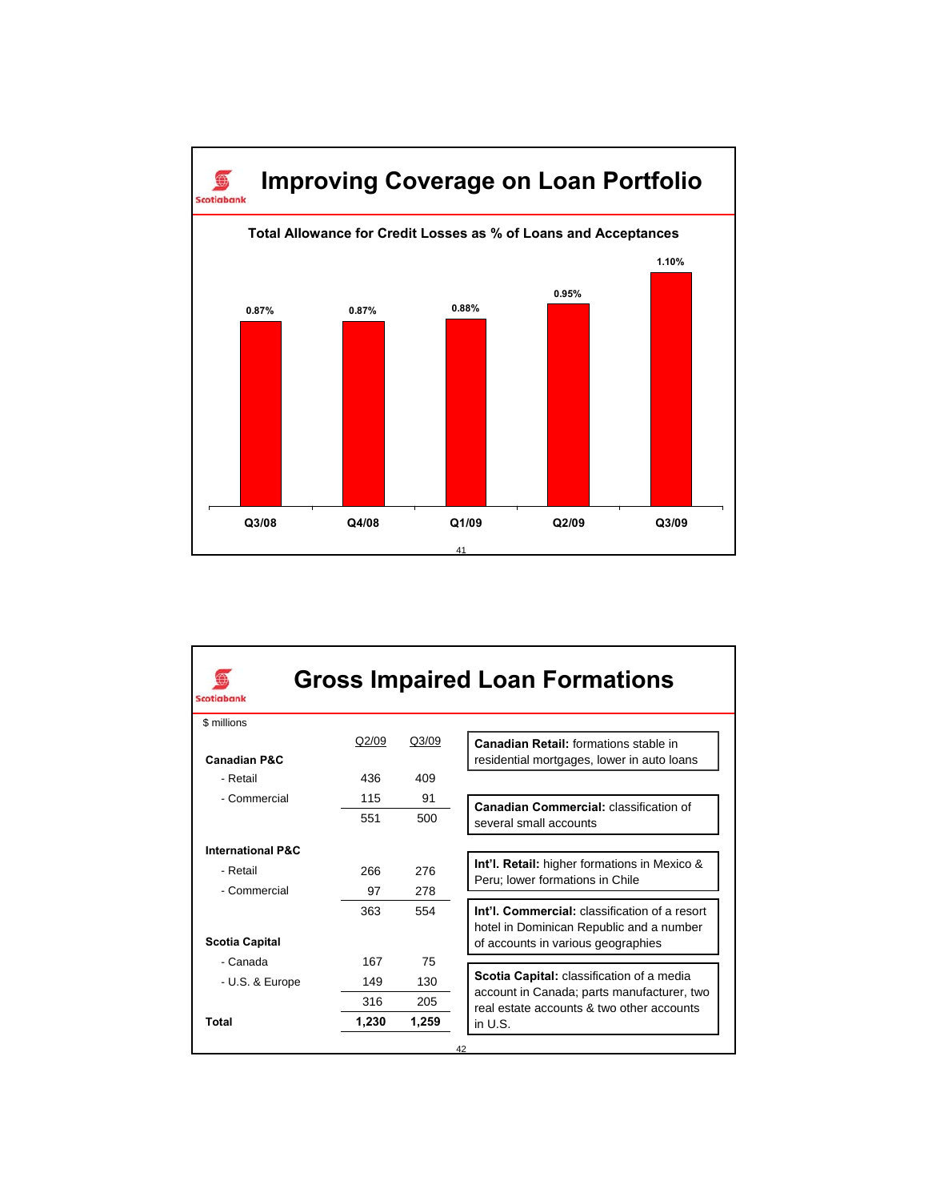

| Scotiabank                   |       |       | <b>Gross Impaired Loan Formations</b>                                                     |
|------------------------------|-------|-------|-------------------------------------------------------------------------------------------|
| \$ millions                  |       |       |                                                                                           |
|                              | Q2/09 | Q3/09 | <b>Canadian Retail:</b> formations stable in                                              |
| <b>Canadian P&amp;C</b>      |       |       | residential mortgages, lower in auto loans                                                |
| - Retail                     | 436   | 409   |                                                                                           |
| - Commercial                 | 115   | 91    | <b>Canadian Commercial: classification of</b>                                             |
|                              | 551   | 500   | several small accounts                                                                    |
| <b>International P&amp;C</b> |       |       |                                                                                           |
| - Retail                     | 266   | 276   | Int'l. Retail: higher formations in Mexico &<br>Peru; lower formations in Chile           |
| - Commercial                 | 97    | 278   |                                                                                           |
|                              | 363   | 554   | Int'l. Commercial: classification of a resort<br>hotel in Dominican Republic and a number |
| <b>Scotia Capital</b>        |       |       | of accounts in various geographies                                                        |
| - Canada                     | 167   | 75    |                                                                                           |
| - U.S. & Europe              | 149   | 130   | Scotia Capital: classification of a media                                                 |
|                              | 316   | 205   | account in Canada; parts manufacturer, two<br>real estate accounts & two other accounts   |
| Total                        | 1,230 | 1,259 | in $U.S.$                                                                                 |
|                              |       |       | 42                                                                                        |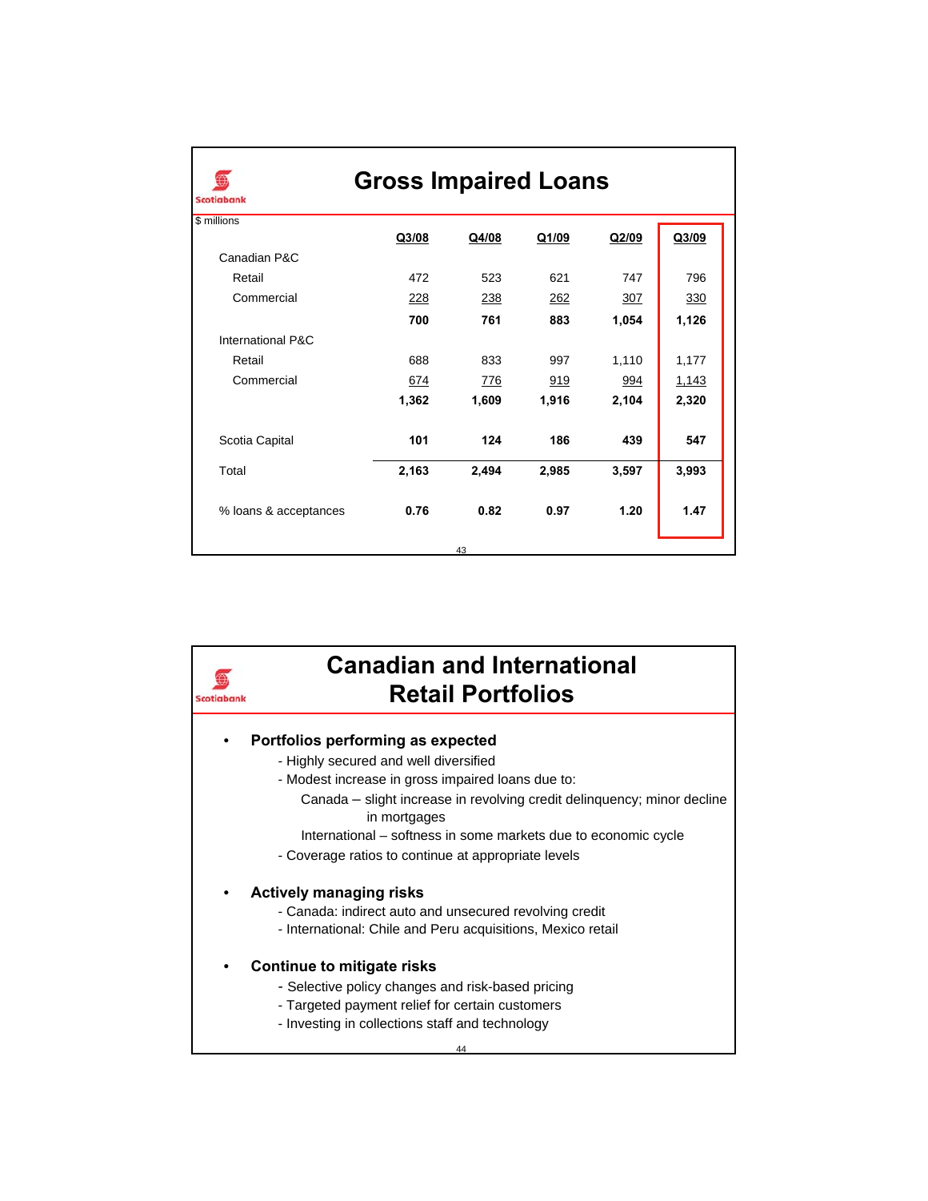| <b>Gross Impaired Loans</b><br><b>Scotiabank</b> |       |       |       |       |       |  |
|--------------------------------------------------|-------|-------|-------|-------|-------|--|
| \$ millions                                      |       |       |       |       |       |  |
| Canadian P&C                                     | Q3/08 | Q4/08 | Q1/09 | Q2/09 | Q3/09 |  |
| Retail                                           | 472   | 523   | 621   | 747   | 796   |  |
| Commercial                                       | 228   | 238   | 262   | 307   | 330   |  |
|                                                  | 700   | 761   | 883   | 1,054 | 1,126 |  |
| International P&C                                |       |       |       |       |       |  |
| Retail                                           | 688   | 833   | 997   | 1,110 | 1,177 |  |
| Commercial                                       | 674   | 776   | 919   | 994   | 1,143 |  |
|                                                  | 1,362 | 1,609 | 1,916 | 2,104 | 2,320 |  |
| Scotia Capital                                   | 101   | 124   | 186   | 439   | 547   |  |
| Total                                            | 2,163 | 2,494 | 2,985 | 3,597 | 3,993 |  |
| % loans & acceptances                            | 0.76  | 0.82  | 0.97  | 1.20  | 1.47  |  |
|                                                  |       | 43    |       |       |       |  |

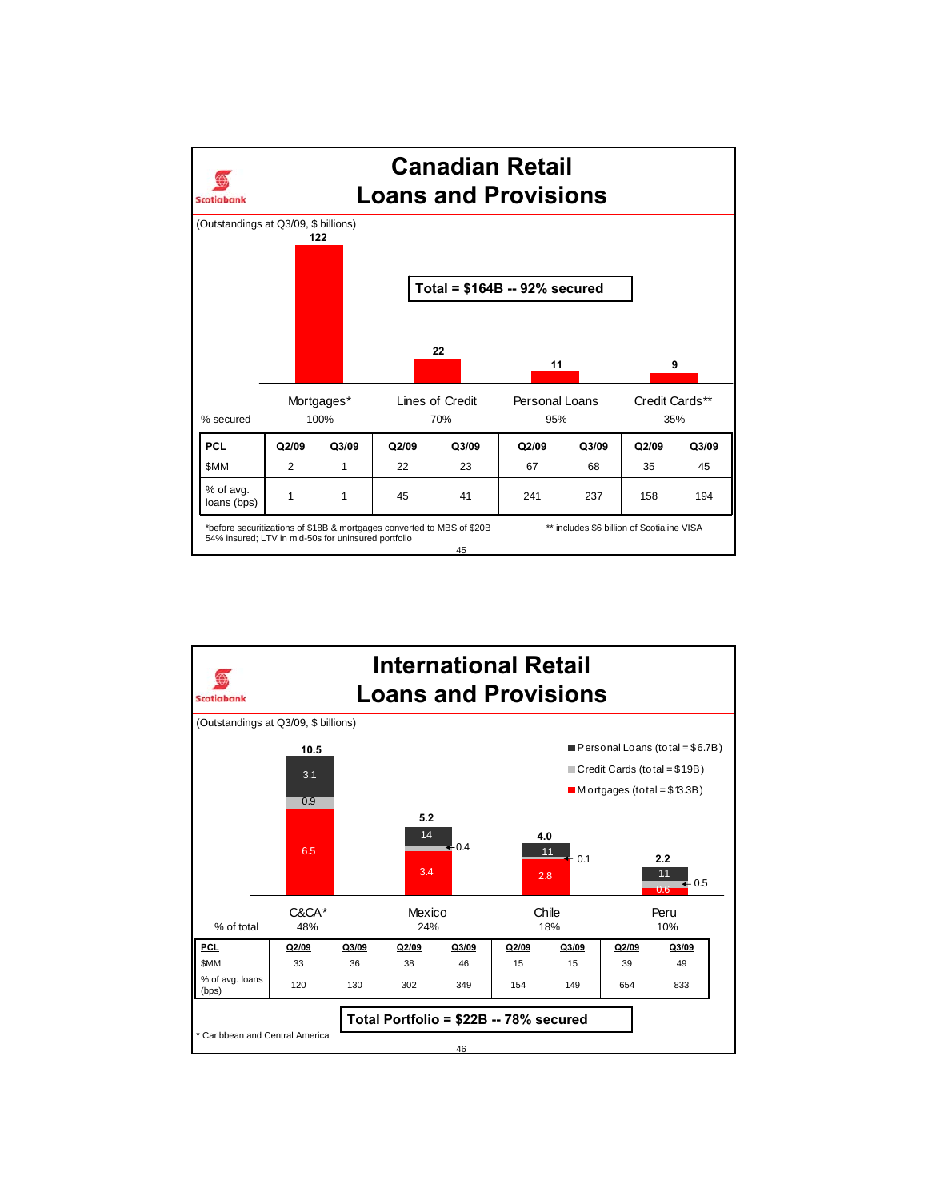

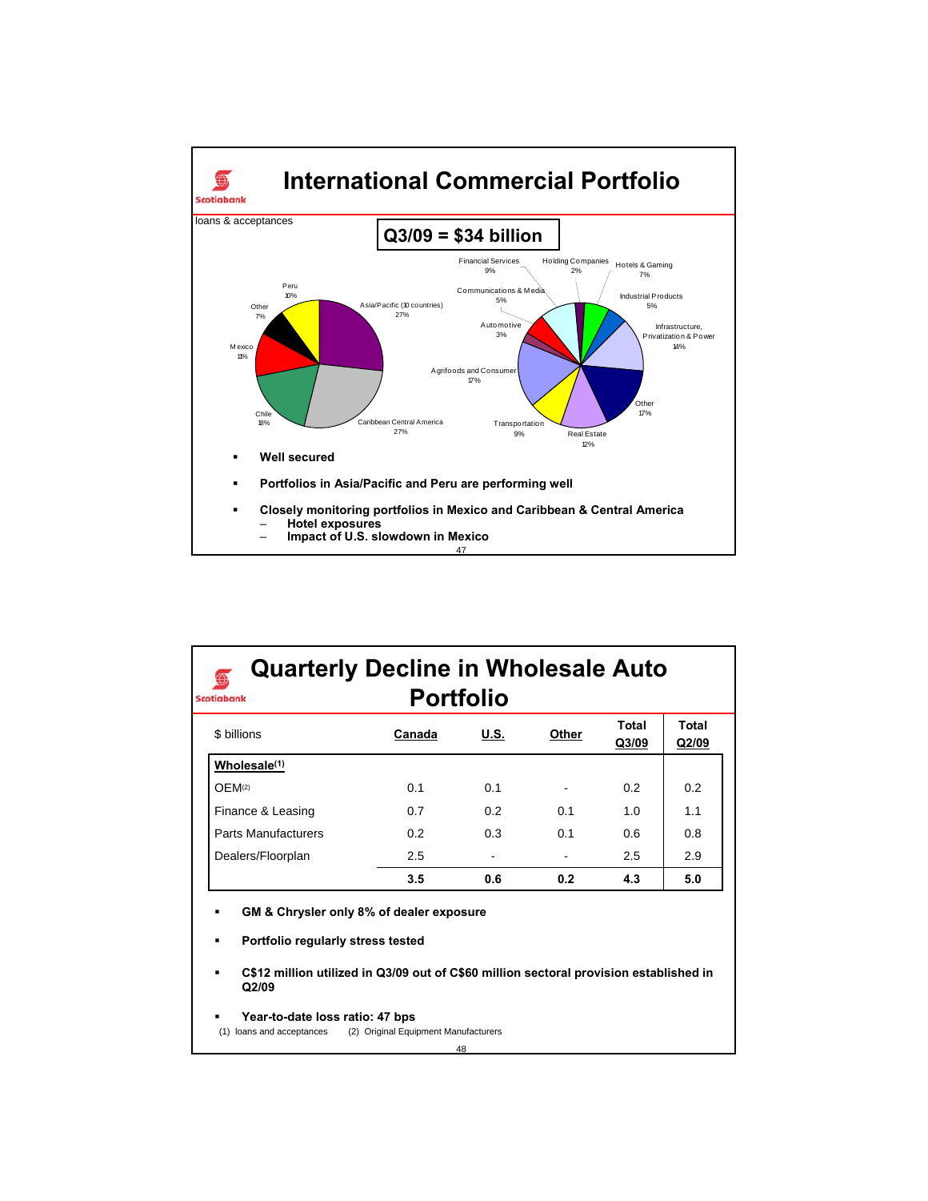

| \$ billions                                                                                                                                                                                | Canada | <u>U.S.</u> | Other | Total<br>Q3/09 | Total<br>Q2/09 |
|--------------------------------------------------------------------------------------------------------------------------------------------------------------------------------------------|--------|-------------|-------|----------------|----------------|
| Wholesale <sup>(1)</sup>                                                                                                                                                                   |        |             |       |                |                |
| OEM <sup>(2)</sup>                                                                                                                                                                         | 0.1    | 0.1         |       | 0.2            | 0.2            |
| Finance & Leasing                                                                                                                                                                          | 0.7    | 0.2         | 0.1   | 1.0            | 1.1            |
| Parts Manufacturers                                                                                                                                                                        | 0.2    | 0.3         | 0.1   | 0.6            | 0.8            |
| Dealers/Floorplan                                                                                                                                                                          | 2.5    |             |       | 2.5            | 2.9            |
|                                                                                                                                                                                            | 3.5    | 0.6         | 0.2   | 4.3            | 5.0            |
| GM & Chrysler only 8% of dealer exposure<br>Portfolio regularly stress tested<br>٠<br>C\$12 million utilized in Q3/09 out of C\$60 million sectoral provision established in<br>٠<br>Q2/09 |        |             |       |                |                |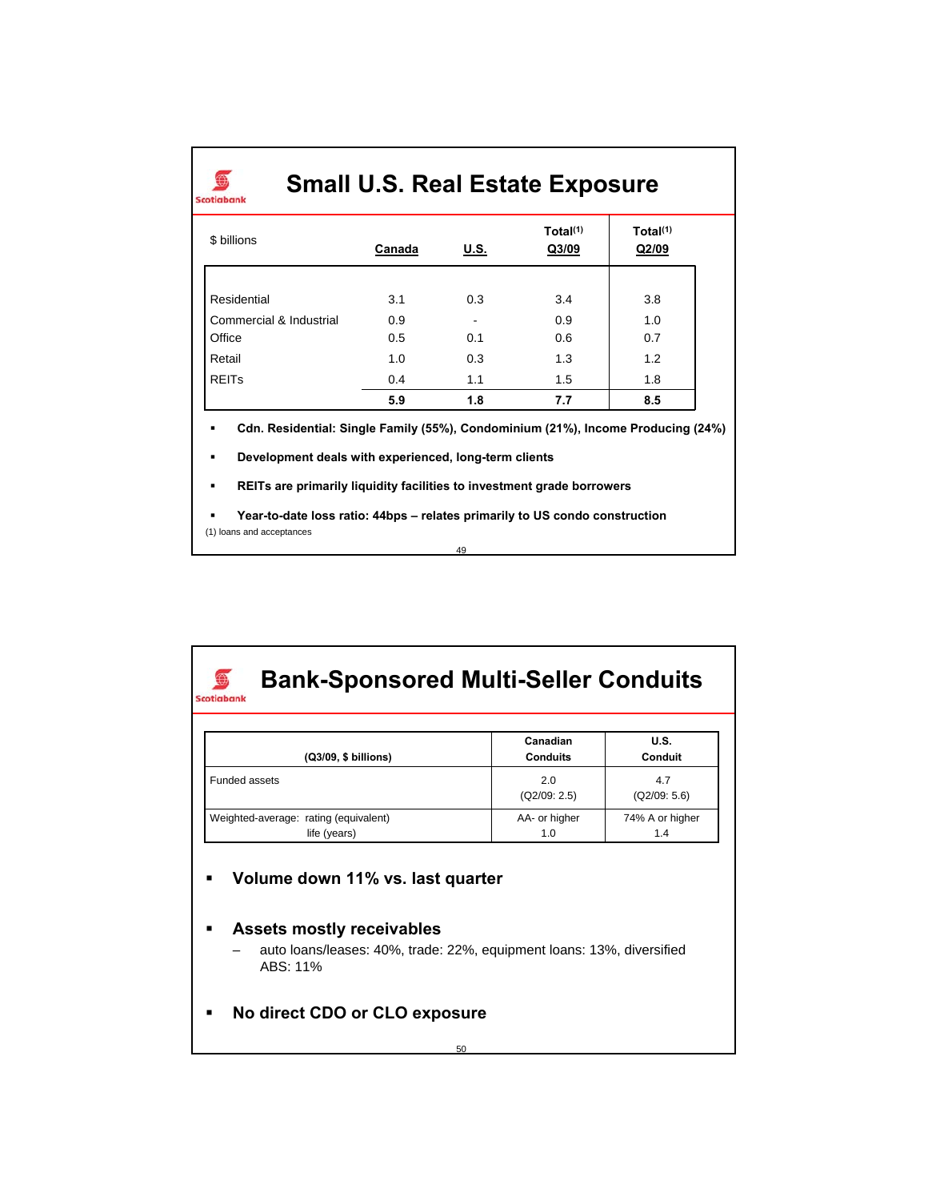|   | ï |  |  |
|---|---|--|--|
|   |   |  |  |
|   |   |  |  |
| ۱ |   |  |  |
|   |   |  |  |
|   |   |  |  |
|   |   |  |  |

Scotiabank

 $\bigcirc$ Scotiabank

## **Small U.S. Real Estate Exposure**

| \$ billions             | Canada | <u>U.S.</u> | Total $(1)$<br>Q3/09 | Total $(1)$<br>Q2/09 |
|-------------------------|--------|-------------|----------------------|----------------------|
|                         |        |             |                      |                      |
| Residential             | 3.1    | 0.3         | 3.4                  | 3.8                  |
| Commercial & Industrial | 0.9    |             | 0.9                  | 1.0                  |
| Office                  | 0.5    | 0.1         | 0.6                  | 0.7                  |
| Retail                  | 1.0    | 0.3         | 1.3                  | 1.2                  |
| <b>REITs</b>            | 0.4    | 1.1         | 1.5                  | 1.8                  |
|                         | 5.9    | 1.8         | 7.7                  | 8.5                  |

**Development deals with experienced, long-term clients**

**REITs are primarily liquidity facilities to investment grade borrowers**

(1) loans and acceptances **Year-to-date loss ratio: 44bps – relates primarily to US condo construction**

49

# **Bank-Sponsored Multi-Seller Conduits**

| (Q3/09, \$ billions)                                  | Canadian<br><b>Conduits</b> | U.S.<br>Conduit        |
|-------------------------------------------------------|-----------------------------|------------------------|
| Funded assets                                         | 2.0<br>(Q2/09: 2.5)         | 4.7<br>(Q2/09: 5.6)    |
| Weighted-average: rating (equivalent)<br>life (years) | AA- or higher<br>1.0        | 74% A or higher<br>1.4 |

### **Volume down 11% vs. last quarter**

#### **Assets mostly receivables**

– auto loans/leases: 40%, trade: 22%, equipment loans: 13%, diversified ABS: 11%

### **No direct CDO or CLO exposure**